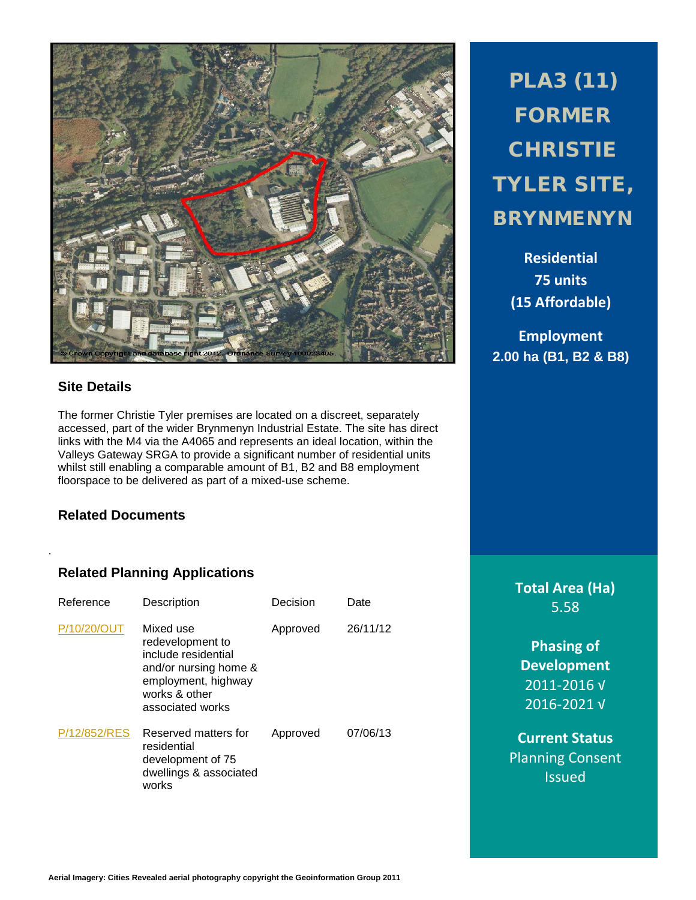

# **Site Details**

.

The former Christie Tyler premises are located on a discreet, separately accessed, part of the wider Brynmenyn Industrial Estate. The site has direct links with the M4 via the A4065 and represents an ideal location, within the Valleys Gateway SRGA to provide a significant number of residential units whilst still enabling a comparable amount of B1, B2 and B8 employment floorspace to be delivered as part of a mixed-use scheme.

# **Related Documents**

# **Related Planning Applications**

| Reference    | Description                                                                                                                               | Decision | Date     |
|--------------|-------------------------------------------------------------------------------------------------------------------------------------------|----------|----------|
| P/10/20/OUT  | Mixed use<br>redevelopment to<br>include residential<br>and/or nursing home &<br>employment, highway<br>works & other<br>associated works | Approved | 26/11/12 |
| P/12/852/RES | Reserved matters for<br>residential<br>development of 75<br>dwellings & associated<br>works                                               | Approved | 07/06/13 |

PLA3 (11) FORMER **CHRISTIE** TYLER SITE, BRYNMENYN

> **Residential 75 units (15 Affordable)**

**Employment 2.00 ha (B1, B2 & B8)**

> **Total Area (Ha)** 5.58

**Phasing of Development** 2011-2016 √ 2016-2021 √

**Current Status** Planning Consent Issued